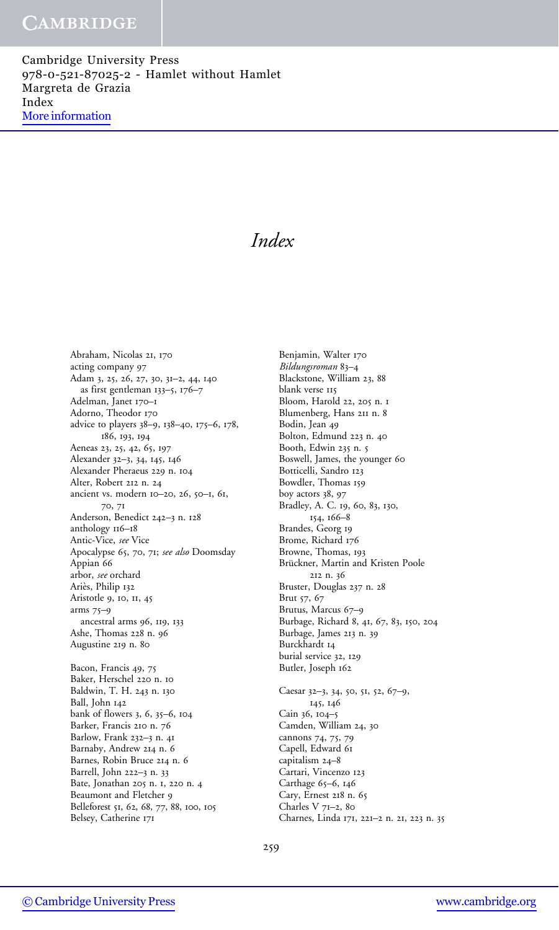Cambridge University Press 978-0-521-87025-2 - Hamlet without Hamlet Margreta de Grazia Index [More information](http://www.cambridge.org/0521870259)

# Index

Benjamin, Walter 170

Abraham, Nicolas 21, 170 acting company 97 Adam 3, 25, 26, 27, 30, 31–2, 44, 140 as first gentleman 133–5, 176–7 Adelman, Janet 170–1 Adorno, Theodor 170 advice to players 38–9, 138–40, 175–6, 178, 186, 193, 194 Aeneas 23, 25, 42, 65, 197 Alexander 32–3, 34, 145, 146 Alexander Pheraeus 229 n. 104 Alter, Robert 212 n. 24 ancient vs. modern 10–20, 26, 50–1, 61, 70, 71 Anderson, Benedict 242–3 n. 128 anthology 116–18 Antic-Vice, see Vice Apocalypse 65, 70, 71; see also Doomsday Appian 66 arbor, see orchard Ariès, Philip 132 Aristotle 9, 10, 11, 45 arms 75–9 ancestral arms 96, 119, 133 Ashe, Thomas 228 n. 96 Augustine 219 n. 80 Bacon, Francis 49, 75 Baker, Herschel 220 n. 10 Baldwin, T. H. 243 n. 130 Ball, John 142 bank of flowers 3, 6, 35–6, 104 Barker, Francis 210 n. 76 Barlow, Frank 232–3 n. 41 Barnaby, Andrew 214 n. 6

Bildungsroman 83–4 Blackstone, William 23, 88 blank verse 115 Bloom, Harold 22, 205 n. 1 Blumenberg, Hans 211 n. 8 Bodin, Jean 49 Bolton, Edmund 223 n. 40 Booth, Edwin 235 n. 5 Boswell, James, the younger 60 Botticelli, Sandro 123 Bowdler, Thomas 159 boy actors 38, 97 Bradley, A. C. 19, 60, 83, 130, 154, 166–8 Brandes, Georg 19 Brome, Richard 176 Browne, Thomas, 193 Brückner, Martin and Kristen Poole 212 n. 36 Bruster, Douglas 237 n. 28 Brut 57, 67 Brutus, Marcus 67–9 Burbage, Richard 8, 41, 67, 83, 150, 204 Burbage, James 213 n. 39 Burckhardt 14 burial service 32, 129 Butler, Joseph 162 Caesar 32–3, 34, 50, 51, 52, 67–9, 145, 146 Cain 36, 104–5 Camden, William 24, 30 cannons 74, 75, 79 Capell, Edward 61 capitalism 24–8 Cartari, Vincenzo 123 Carthage 65–6, 146 Cary, Ernest 218 n. 65 Charles V 71–2, 80

Charnes, Linda 171, 221–2 n. 21, 223 n. 35

Barnes, Robin Bruce 214 n. 6 Barrell, John 222–3 n. 33 Bate, Jonathan 205 n. 1, 220 n. 4 Beaumont and Fletcher 9 Belleforest 51, 62, 68, 77, 88, 100, 105

Belsey, Catherine 171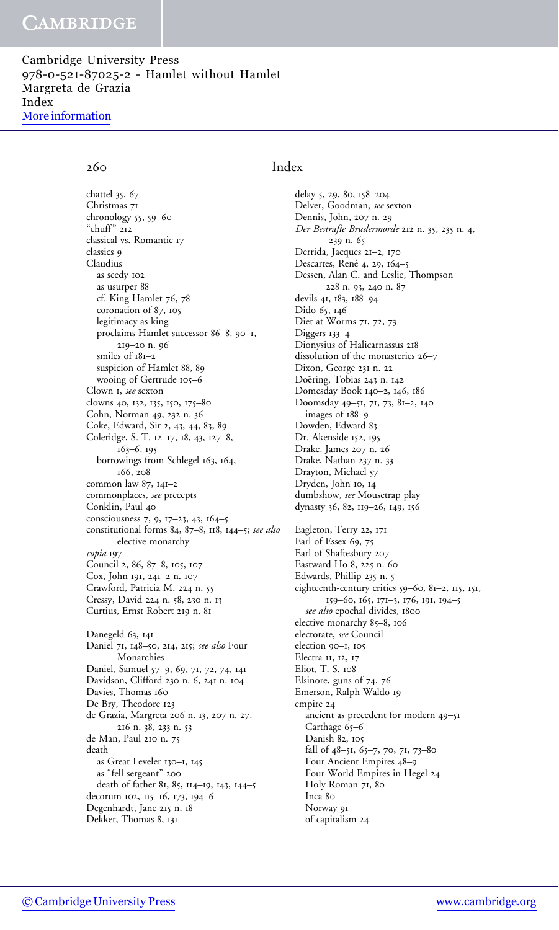Cambridge University Press 978-0-521-87025-2 - Hamlet without Hamlet Margreta de Grazia Index [More information](http://www.cambridge.org/0521870259)

chattel 35, 67 Christmas 71 chronology 55, 59–60 "chuff " 212 classical vs. Romantic 17 classics 9 Claudius as seedy 102 as usurper 88 cf. King Hamlet 76, 78 coronation of 87, 105 legitimacy as king proclaims Hamlet successor 86–8, 90–1, 219–20 n. 96 smiles of 181–2 suspicion of Hamlet 88, 89 wooing of Gertrude 105–6 Clown 1, see sexton clowns 40, 132, 135, 150, 175–80 Cohn, Norman 49, 232 n. 36 Coke, Edward, Sir 2, 43, 44, 83, 89 Coleridge, S. T. 12–17, 18, 43, 127–8, 163–6, 195 borrowings from Schlegel 163, 164, 166, 208 common law 87, 141–2 commonplaces, see precepts Conklin, Paul 40 consciousness 7, 9, 17–23, 43, 164–5 constitutional forms 84, 87–8, 118, 144–5; see also elective monarchy copia 197 Council 2, 86, 87–8, 105, 107 Cox, John 191, 241–2 n. 107 Crawford, Patricia M. 224 n. 55 Cressy, David 224 n. 58, 230 n. 13 Curtius, Ernst Robert 219 n. 81 Danegeld 63, 141 Daniel 71, 148-50, 214, 215; see also Four Monarchies Daniel, Samuel 57–9, 69, 71, 72, 74, 141 Davidson, Clifford 230 n. 6, 241 n. 104 Davies, Thomas 160 De Bry, Theodore 123 de Grazia, Margreta 206 n. 13, 207 n. 27, 216 n. 38, 233 n. 53 de Man, Paul 210 n. 75 death as Great Leveler 130–1, 145 as "fell sergeant" 200 death of father 81, 85, 114–19, 143, 144–5 decorum 102, 115–16, 173, 194–6 Degenhardt, Jane 215 n. 18 Dekker, Thomas 8, 131

### 260 Index

delay 5, 29, 80, 158–204 Delver, Goodman, see sexton Dennis, John, 207 n. 29 Der Bestrafte Brudermorde 212 n. 35, 235 n. 4, 239 n. 65 Derrida, Jacques 21–2, 170 Descartes, René 4, 29, 164-5 Dessen, Alan C. and Leslie, Thompson 228 n. 93, 240 n. 87 devils 41, 183, 188–94 Dido 65, 146 Diet at Worms 71, 72, 73 Diggers 133–4 Dionysius of Halicarnassus 218 dissolution of the monasteries 26–7 Dixon, George 231 n. 22 Doëring, Tobias 243 n. 142 Domesday Book 140–2, 146, 186 Doomsday 49–51, 71, 73, 81–2, 140 images of 188–9 Dowden, Edward 83 Dr. Akenside 152, 195 Drake, James 207 n. 26 Drake, Nathan 237 n. 33 Drayton, Michael 57 Dryden, John 10, 14 dumbshow, see Mousetrap play dynasty 36, 82, 119–26, 149, 156 Eagleton, Terry 22, 171 Earl of Essex 69, 75 Earl of Shaftesbury 207 Eastward Ho 8, 225 n. 60 Edwards, Phillip 235 n. 5 eighteenth-century critics 59–60, 81–2, 115, 151, 159–60, 165, 171–3, 176, 191, 194–5 see also epochal divides, 1800 elective monarchy 85–8, 106 electorate, see Council election 90–1, 105 Electra 11, 12, 17 Eliot, T. S. 108 Elsinore, guns of 74, 76 Emerson, Ralph Waldo 19 empire 24 ancient as precedent for modern 49–51 Carthage 65–6 Danish 82, 105 fall of 48–51, 65–7, 70, 71, 73–80 Four Ancient Empires 48–9 Four World Empires in Hegel 24 Holy Roman 71, 80 Inca 80 Norway 91 of capitalism 24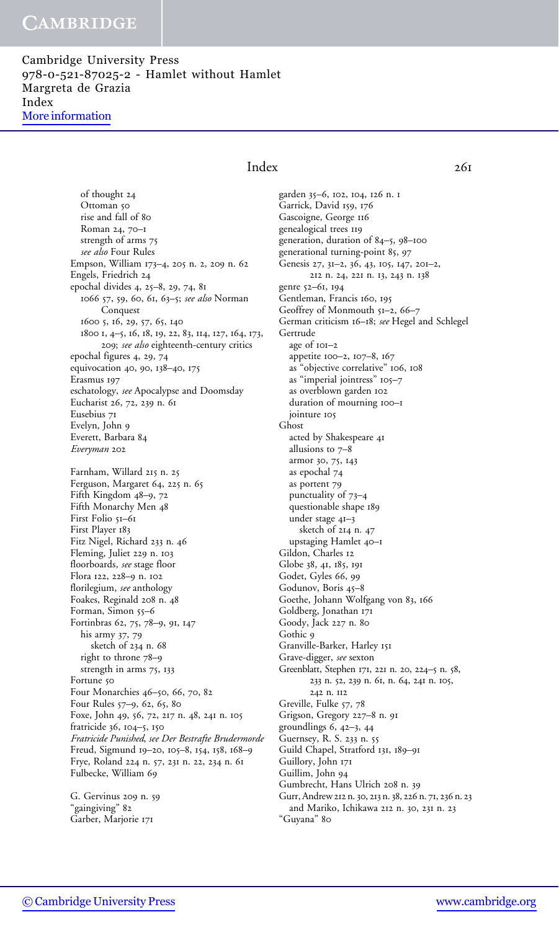Cambridge University Press 978-0-521-87025-2 - Hamlet without Hamlet Margreta de Grazia Index [More information](http://www.cambridge.org/0521870259)

### Index 261

of thought 24 Ottoman 50 rise and fall of 80 Roman 24, 70–1 strength of arms 75 see also Four Rules Empson, William 173–4, 205 n. 2, 209 n. 62 Engels, Friedrich 24 epochal divides 4, 25–8, 29, 74, 81 1066 57, 59, 60, 61, 63–5; see also Norman Conquest 1600 5, 16, 29, 57, 65, 140 1800 1, 4–5, 16, 18, 19, 22, 83, 114, 127, 164, 173, 209; see also eighteenth-century critics epochal figures 4, 29, 74 equivocation 40, 90, 138–40, 175 Erasmus 197 eschatology, see Apocalypse and Doomsday Eucharist 26, 72, 239 n. 61 Eusebius 71 Evelyn, John 9 Everett, Barbara 84 Everyman 202 Farnham, Willard 215 n. 25 Ferguson, Margaret 64, 225 n. 65 Fifth Kingdom 48–9, 72 Fifth Monarchy Men 48 First Folio 51–61 First Player 183 Fitz Nigel, Richard 233 n. 46 Fleming, Juliet 229 n. 103 floorboards, see stage floor Flora 122, 228–9 n. 102 florilegium, see anthology Foakes, Reginald 208 n. 48 Forman, Simon 55–6 Fortinbras 62, 75, 78–9, 91, 147 his army 37, 79 sketch of 234 n. 68 right to throne 78–9 strength in arms 75, 133 Fortune 50 Four Monarchies 46–50, 66, 70, 82 Four Rules 57–9, 62, 65, 80 Foxe, John 49, 56, 72, 217 n. 48, 241 n. 105 fratricide 36, 104–5, 150 Fratricide Punished, see Der Bestrafte Brudermorde Freud, Sigmund 19–20, 105–8, 154, 158, 168–9 Frye, Roland 224 n. 57, 231 n. 22, 234 n. 61 Fulbecke, William 69

G. Gervinus 209 n. 59 "gaingiving" 82 Garber, Marjorie 171

garden 35–6, 102, 104, 126 n. 1 Garrick, David 159, 176 Gascoigne, George 116 genealogical trees 119 generation, duration of 84–5, 98–100 generational turning-point 85, 97 Genesis 27, 31–2, 36, 43, 105, 147, 201–2, 212 n. 24, 221 n. 13, 243 n. 138 genre 52–61, 194 Gentleman, Francis 160, 195 Geoffrey of Monmouth 51–2, 66–7 German criticism 16–18; see Hegel and Schlegel Gertrude age of 101–2 appetite 100–2, 107–8, 167 as "objective correlative" 106, 108 as "imperial jointress" 105–7 as overblown garden 102 duration of mourning 100–1 jointure 105 Ghost acted by Shakespeare 41 allusions to 7–8 armor 30, 75, 143 as epochal 74 as portent 79 punctuality of 73–4 questionable shape 189 under stage 41–3 sketch of 214 n. 47 upstaging Hamlet 40–1 Gildon, Charles 12 Globe 38, 41, 185, 191 Godet, Gyles 66, 99 Godunov, Boris 45–8 Goethe, Johann Wolfgang von 83, 166 Goldberg, Jonathan 171 Goody, Jack 227 n. 80 Gothic 9 Granville-Barker, Harley 151 Grave-digger, see sexton Greenblatt, Stephen 171, 221 n. 20, 224–5 n. 58, 233 n. 52, 239 n. 61, n. 64, 241 n. 105, 242 n. 112 Greville, Fulke 57, 78 Grigson, Gregory 227–8 n. 91 groundlings 6, 42–3, 44 Guernsey, R. S. 233 n. 55 Guild Chapel, Stratford 131, 189–91 Guillory, John 171 Guillim, John 94 Gumbrecht, Hans Ulrich 208 n. 39 Gurr, Andrew212 n.30, 213 n.38, 226 n. 71, 236 n. 23 and Mariko, Ichikawa 212 n. 30, 231 n. 23 "Guyana" 80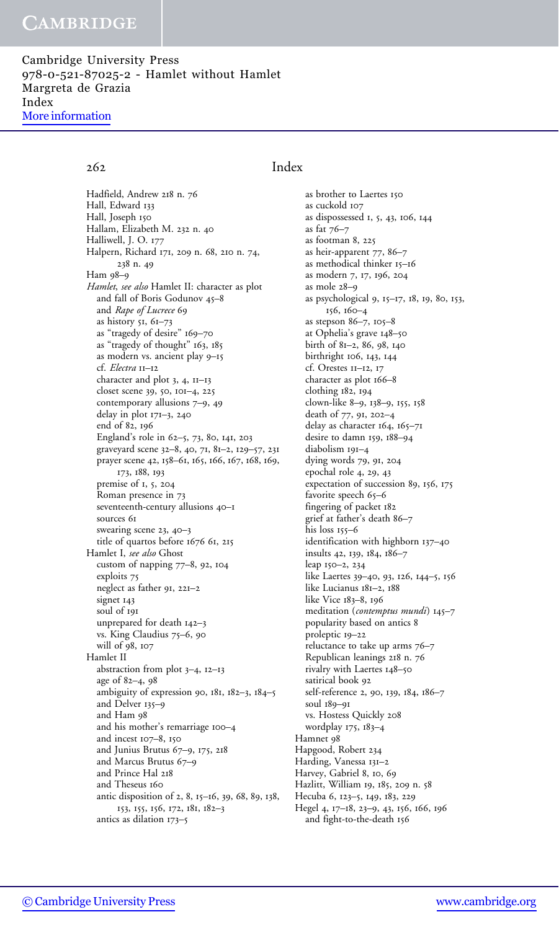Cambridge University Press 978-0-521-87025-2 - Hamlet without Hamlet Margreta de Grazia Index [More information](http://www.cambridge.org/0521870259)

Hadfield, Andrew 218 n. 76 Hall, Edward 133 Hall, Joseph 150 Hallam, Elizabeth M. 232 n. 40 Halliwell, J. O. 177 Halpern, Richard 171, 209 n. 68, 210 n. 74, 238 n. 49 Ham 98–9 Hamlet, see also Hamlet II: character as plot and fall of Boris Godunov 45–8 and Rape of Lucrece 69 as history 51, 61–73 as "tragedy of desire" 169–70 as "tragedy of thought" 163, 185 as modern vs. ancient play 9–15 cf. Electra 11-12 character and plot 3, 4, 11–13 closet scene 39, 50, 101–4, 225 contemporary allusions 7–9, 49 delay in plot 171–3, 240 end of 82, 196 England's role in 62–5, 73, 80, 141, 203 graveyard scene 32–8, 40, 71, 81–2, 129–57, 231 prayer scene 42, 158–61, 165, 166, 167, 168, 169, 173, 188, 193 premise of 1, 5, 204 Roman presence in 73 seventeenth-century allusions 40–1 sources 61 swearing scene 23, 40–3 title of quartos before 1676 61, 215 Hamlet I, see also Ghost custom of napping 77–8, 92, 104 exploits 75 neglect as father 91, 221–2 signet 143 soul of 191 unprepared for death 142–3 vs. King Claudius 75–6, 90 will of 98, 107 Hamlet II abstraction from plot 3–4, 12–13 age of 82–4, 98 ambiguity of expression 90, 181, 182–3, 184–5 and Delver 135–9 and Ham 98 and his mother's remarriage 100–4 and incest 107–8, 150 and Junius Brutus 67–9, 175, 218 and Marcus Brutus 67–9 and Prince Hal 218 and Theseus 160 antic disposition of 2, 8, 15–16, 39, 68, 89, 138, 153, 155, 156, 172, 181, 182–3 antics as dilation 173–5

### 262 Index

as brother to Laertes 150 as cuckold 107 as dispossessed 1, 5, 43, 106, 144 as fat 76–7 as footman 8, 225 as heir-apparent 77, 86–7 as methodical thinker 15–16 as modern 7, 17, 196, 204 as mole 28–9 as psychological 9, 15–17, 18, 19, 80, 153, 156, 160–4 as stepson 86–7, 105–8 at Ophelia's grave 148–50 birth of 81–2, 86, 98, 140 birthright 106, 143, 144 cf. Orestes 11–12, 17 character as plot 166–8 clothing 182, 194 clown-like 8–9, 138–9, 155, 158 death of 77, 91, 202–4 delay as character 164, 165–71 desire to damn 159, 188–94 diabolism 191–4 dying words 79, 91, 204 epochal role 4, 29, 43 expectation of succession 89, 156, 175 favorite speech 65–6 fingering of packet 182 grief at father's death 86–7 his loss 155–6 identification with highborn 137–40 insults 42, 139, 184, 186–7 leap 150–2, 234 like Laertes 39–40, 93, 126, 144–5, 156 like Lucianus 181–2, 188 like Vice 183–8, 196 meditation (contemptus mundi) 145-7 popularity based on antics 8 proleptic 19–22 reluctance to take up arms 76–7 Republican leanings 218 n. 76 rivalry with Laertes 148–50 satirical book 92 self-reference 2, 90, 139, 184, 186–7 soul 189–91 vs. Hostess Quickly 208 wordplay 175, 183–4 Hamnet 98 Hapgood, Robert 234 Harding, Vanessa 131–2 Harvey, Gabriel 8, 10, 69 Hazlitt, William 19, 185, 209 n. 58 Hecuba 6, 123–5, 149, 183, 229 Hegel 4, 17–18, 23–9, 43, 156, 166, 196 and fight-to-the-death 156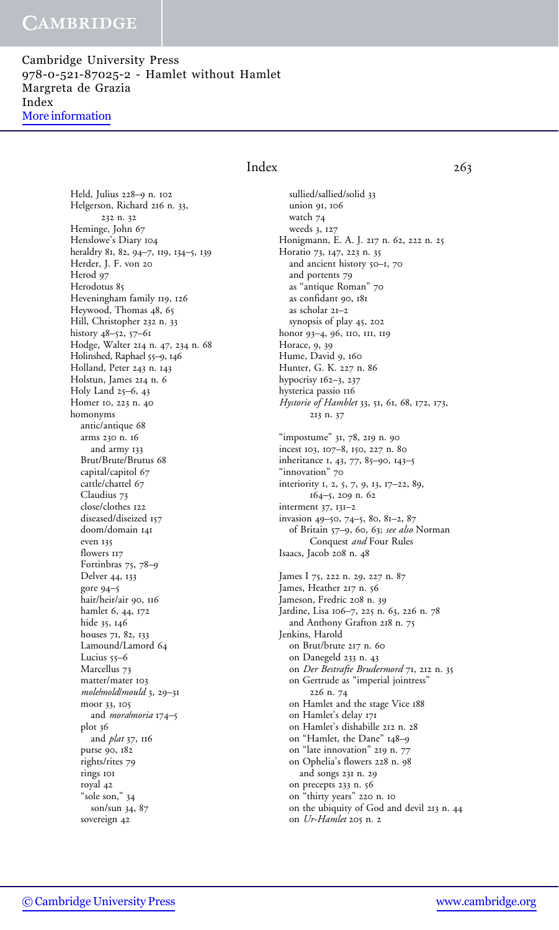Cambridge University Press 978-0-521-87025-2 - Hamlet without Hamlet Margreta de Grazia Index [More information](http://www.cambridge.org/0521870259)

> Held, Julius 228–9 n. 102 Helgerson, Richard 216 n. 33, 232 n. 32 Heminge, John 67 Henslowe's Diary 104 heraldry 81, 82, 94–7, 119, 134–5, 139 Herder, J. F. von 20 Herod 97 Herodotus 85 Heveningham family 119, 126 Heywood, Thomas 48, 65 Hill, Christopher 232 n. 33 history 48–52, 57–61 Hodge, Walter 214 n. 47, 234 n. 68 Holinshed, Raphael 55–9, 146 Holland, Peter 243 n. 143 Holstun, James 214 n. 6 Holy Land 25–6, 43 Homer 10, 223 n. 40 homonyms antic/antique 68 arms 230 n. 16 and army 133 Brut/Brute/Brutus 68 capital/capitol 67 cattle/chattel 67 Claudius 73 close/clothes 122 diseased/diseized 157 doom/domain 141 even 135 flowers 117 Fortinbras 75, 78–9 Delver 44, 133 gore 94–5 hair/heir/air 90, 116 hamlet 6, 44, 172 hide 35, 146 houses 71, 82, 133 Lamound/Lamord 64 Lucius 55-6 Marcellus 73 matter/mater 103 molelmoldlmould 3, 29-31 moor 33, 105 and *moralmoria* 174-5 plot 36 and plat 37, 116 purse 90, 182 rights/rites 79 rings 101 royal 42 "sole son," 34 son/sun 34, 87 sovereign 42

### Index 263

sullied/sallied/solid 33 union 91, 106 watch 74 weeds 3, 127 Honigmann, E. A. J. 217 n. 62, 222 n. 25 Horatio 73, 147, 223 n. 35 and ancient history 50-1, 70 and portents 79 as "antique Roman" 70 as confidant 90, 181 as scholar 21–2 synopsis of play 45, 202 honor 93–4, 96, 110, 111, 119 Horace, 9, 39 Hume, David 9, 160 Hunter, G. K. 227 n. 86 hypocrisy 162–3, 237 hysterica passio 116 Hystorie of Hamblet 33, 51, 61, 68, 172, 173, 213 n. 37 "impostume" 31, 78, 219 n. 90 incest 103, 107–8, 150, 227 n. 80 inheritance 1, 43, 77, 85–90, 143–5 "innovation" 70 interiority 1, 2, 5, 7, 9, 13, 17–22, 89, 164–5, 209 n. 62 interment 37, 131–2 invasion 49–50, 74–5, 80, 81–2, 87 of Britain 57–9, 60, 63; see also Norman Conquest and Four Rules Isaacs, Jacob 208 n. 48 James I 75, 222 n. 29, 227 n. 87 James, Heather 217 n. 56 Jameson, Fredric 208 n. 39 Jardine, Lisa 106–7, 225 n. 63, 226 n. 78 and Anthony Grafton 218 n. 75 Jenkins, Harold on Brut/brute 217 n. 60 on Danegeld 233 n. 43 on Der Bestrafte Brudermord 71, 212 n. 35 on Gertrude as "imperial jointress" 226 n. 74 on Hamlet and the stage Vice 188 on Hamlet's delay 171 on Hamlet's dishabille 212 n. 28 on "Hamlet, the Dane" 148–9 on "late innovation" 219 n. 77 on Ophelia's flowers 228 n. 98 and songs 231 n. 29 on precepts 233 n. 56 on "thirty years" 220 n. 10 on the ubiquity of God and devil 213 n. 44 on Ur-Hamlet 205 n. 2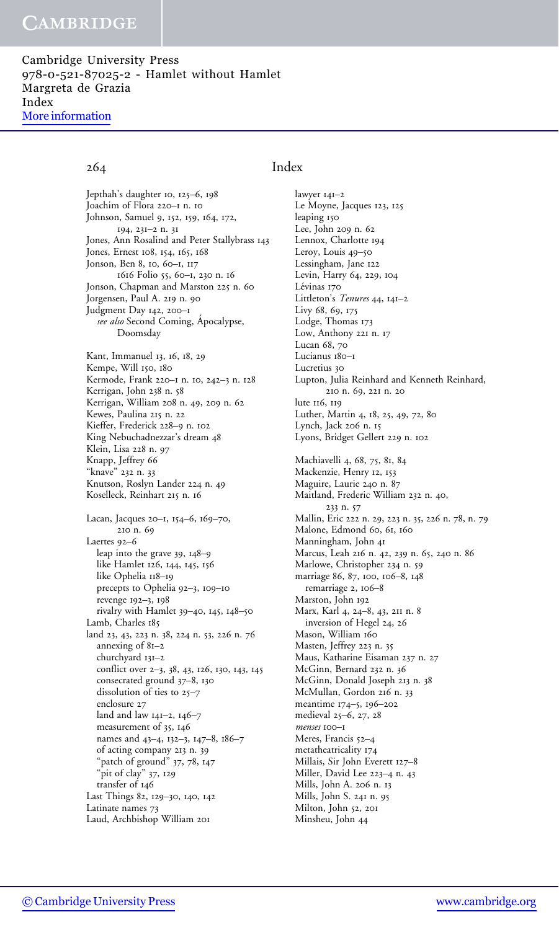Cambridge University Press 978-0-521-87025-2 - Hamlet without Hamlet Margreta de Grazia Index [More information](http://www.cambridge.org/0521870259)

### Jepthah's daughter 10, 125–6, 198 Joachim of Flora 220–1 n. 10 Johnson, Samuel 9, 152, 159, 164, 172, 194, 231–2 n. 31 Jones, Ann Rosalind and Peter Stallybrass 143 Jones, Ernest 108, 154, 165, 168 Jonson, Ben 8, 10, 60–1, 117 1616 Folio 55, 60–1, 230 n. 16 Jonson, Chapman and Marston 225 n. 60 Jorgensen, Paul A. 219 n. 90 Judgment Day 142, 200–1 see also Second Coming, Apocalypse, Doomsday Kant, Immanuel 13, 16, 18, 29 Kempe, Will 150, 180 Kermode, Frank 220–1 n. 10, 242–3 n. 128 Kerrigan, John 238 n. 58 Kerrigan, William 208 n. 49, 209 n. 62 Kewes, Paulina 215 n. 22 Kieffer, Frederick 228–9 n. 102 King Nebuchadnezzar's dream 48 Klein, Lisa 228 n. 97 Knapp, Jeffrey 66 "knave" 232 n. 33 Knutson, Roslyn Lander 224 n. 49 Koselleck, Reinhart 215 n. 16 Lacan, Jacques 20–1, 154–6, 169–70, 210 n. 69 Laertes 92–6 leap into the grave 39, 148–9 like Hamlet 126, 144, 145, 156 like Ophelia 118–19 precepts to Ophelia 92–3, 109–10 revenge 192–3, 198 rivalry with Hamlet 39–40, 145, 148–50 Lamb, Charles 185 land 23, 43, 223 n. 38, 224 n. 53, 226 n. 76 annexing of 81–2 churchyard 131–2 conflict over 2–3, 38, 43, 126, 130, 143, 145 consecrated ground 37–8, 130 dissolution of ties to 25–7 enclosure 27 land and law 141–2, 146–7 measurement of 35, 146 names and 43–4, 132–3, 147–8, 186–7 of acting company 213 n. 39 "patch of ground" 37, 78, 147 "pit of clay" 37, 129 transfer of 146 Last Things 82, 129–30, 140, 142 Latinate names 73 Laud, Archbishop William 201

### 264 Index

lawyer 141–2 Le Moyne, Jacques 123, 125 leaping 150 Lee, John 209 n. 62 Lennox, Charlotte 194 Leroy, Louis 49–50 Lessingham, Jane 122 Levin, Harry 64, 229, 104 Lévinas 170 Littleton's Tenures 44, 141-2 Livy 68, 69, 175 Lodge, Thomas 173 Low, Anthony 221 n. 17 Lucan 68, 70 Lucianus 180–1 Lucretius 30 Lupton, Julia Reinhard and Kenneth Reinhard, 210 n. 69, 221 n. 20 lute 116, 119 Luther, Martin 4, 18, 25, 49, 72, 80 Lynch, Jack 206 n. 15 Lyons, Bridget Gellert 229 n. 102 Machiavelli 4, 68, 75, 81, 84 Mackenzie, Henry 12, 153 Maguire, Laurie 240 n. 87 Maitland, Frederic William 232 n. 40, 233 n. 57 Mallin, Eric 222 n. 29, 223 n. 35, 226 n. 78, n. 79 Malone, Edmond 60, 61, 160 Manningham, John 41 Marcus, Leah 216 n. 42, 239 n. 65, 240 n. 86 Marlowe, Christopher 234 n. 59 marriage 86, 87, 100, 106–8, 148 remarriage 2, 106–8 Marston, John 192 Marx, Karl 4, 24–8, 43, 211 n. 8 inversion of Hegel 24, 26 Mason, William 160 Masten, Jeffrey 223 n. 35 Maus, Katharine Eisaman 237 n. 27 McGinn, Bernard 232 n. 36 McGinn, Donald Joseph 213 n. 38 McMullan, Gordon 216 n. 33 meantime 174–5, 196–202 medieval 25–6, 27, 28 menses 100–1 Meres, Francis 52–4 metatheatricality 174 Millais, Sir John Everett 127–8 Miller, David Lee 223–4 n. 43 Mills, John A. 206 n. 13 Mills, John S. 241 n. 95 Milton, John 52, 201 Minsheu, John 44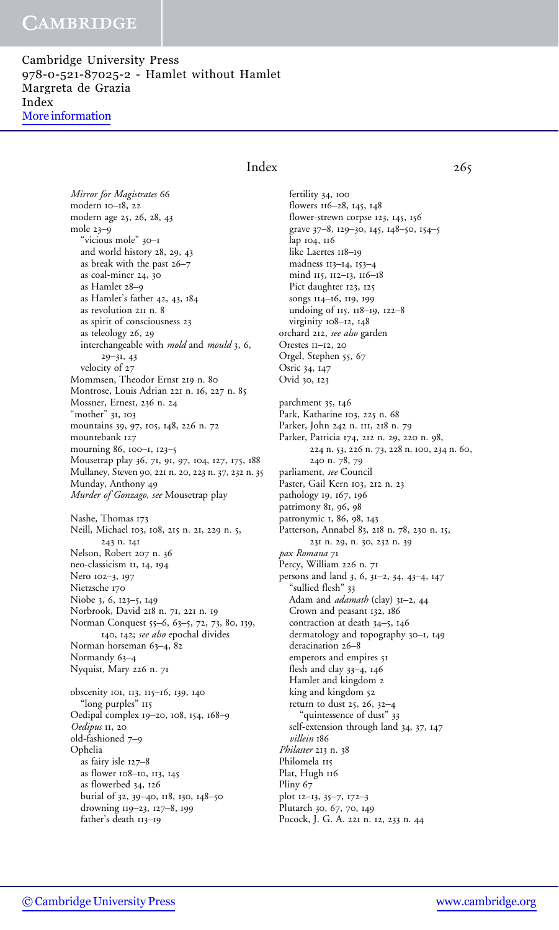Cambridge University Press 978-0-521-87025-2 - Hamlet without Hamlet Margreta de Grazia Index [More information](http://www.cambridge.org/0521870259)

### Index 265

Mirror for Magistrates 66 modern 10–18, 22 modern age 25, 26, 28, 43 mole 23–9 "vicious mole" 30–1 and world history 28, 29, 43 as break with the past 26–7 as coal-miner 24, 30 as Hamlet 28–9 as Hamlet's father 42, 43, 184 as revolution 211 n. 8 as spirit of consciousness 23 as teleology 26, 29 interchangeable with mold and mould 3, 6, 29–31, 43 velocity of 27 Mommsen, Theodor Ernst 219 n. 80 Montrose, Louis Adrian 221 n. 16, 227 n. 85 Mossner, Ernest, 236 n. 24 "mother" 31, 103 mountains 39, 97, 105, 148, 226 n. 72 mountebank 127 mourning 86, 100–1, 123–5 Mousetrap play 36, 71, 91, 97, 104, 127, 175, 188 Mullaney, Steven 90, 221 n. 20, 223 n. 37, 232 n. 35 Munday, Anthony 49 Murder of Gonzago, see Mousetrap play Nashe, Thomas 173 Neill, Michael 103, 108, 215 n. 21, 229 n. 5, 243 n. 141 Nelson, Robert 207 n. 36 neo-classicism 11, 14, 194 Nero 102–3, 197 Nietzsche 170 Niobe 3, 6, 123–5, 149 Norbrook, David 218 n. 71, 221 n. 19 Norman Conquest 55–6, 63–5, 72, 73, 80, 139, 140, 142; see also epochal divides Norman horseman 63-4, 82 Normandy 63–4 Nyquist, Mary 226 n. 71 obscenity 101, 113, 115–16, 139, 140 "long purples" 115 Oedipal complex 19–20, 108, 154, 168–9 Oedipus 11, 20 old-fashioned 7–9

Ophelia as fairy isle 127–8 as flower 108–10, 113, 145 as flowerbed 34, 126 burial of 32, 39–40, 118, 130, 148–50 drowning 119–23, 127–8, 199 father's death 113–19

fertility 34, 100 flowers 116–28, 145, 148 flower-strewn corpse 123, 145, 156 grave 37–8, 129–30, 145, 148–50, 154–5 lap 104, 116 like Laertes 118-19 madness 113–14, 153–4 mind 115, 112–13, 116–18 Pict daughter 123, 125 songs 114–16, 119, 199 undoing of 115, 118–19, 122–8 virginity 108–12, 148 orchard 212, see also garden Orestes 11–12, 20 Orgel, Stephen 55, 67 Osric 34, 147 Ovid 30, 123 parchment 35, 146 Park, Katharine 103, 225 n. 68 Parker, John 242 n. 111, 218 n. 79 Parker, Patricia 174, 212 n. 29, 220 n. 98, 224 n. 53, 226 n. 73, 228 n. 100, 234 n. 60, 240 n. 78, 79 parliament, see Council Paster, Gail Kern 103, 212 n. 23 pathology 19, 167, 196 patrimony 81, 96, 98 patronymic 1, 86, 98, 143 Patterson, Annabel 83, 218 n. 78, 230 n. 15, 231 n. 29, n. 30, 232 n. 39 pax Romana 71 Percy, William 226 n. 71 persons and land 3, 6, 31–2, 34, 43–4, 147 "sullied flesh" 33 Adam and *adamath* (clay) 31-2, 44 Crown and peasant 132, 186 contraction at death 34–5, 146 dermatology and topography 30–1, 149 deracination 26–8 emperors and empires 51 flesh and clay 33–4, 146 Hamlet and kingdom 2 king and kingdom 52 return to dust 25, 26, 32–4 "quintessence of dust" 33 self-extension through land 34, 37, 147 villein 186 Philaster 213 n. 38 Philomela 115 Plat, Hugh 116 Pliny 67 plot 12–13, 35–7, 172–3 Plutarch 30, 67, 70, 149 Pocock, J. G. A. 221 n. 12, 233 n. 44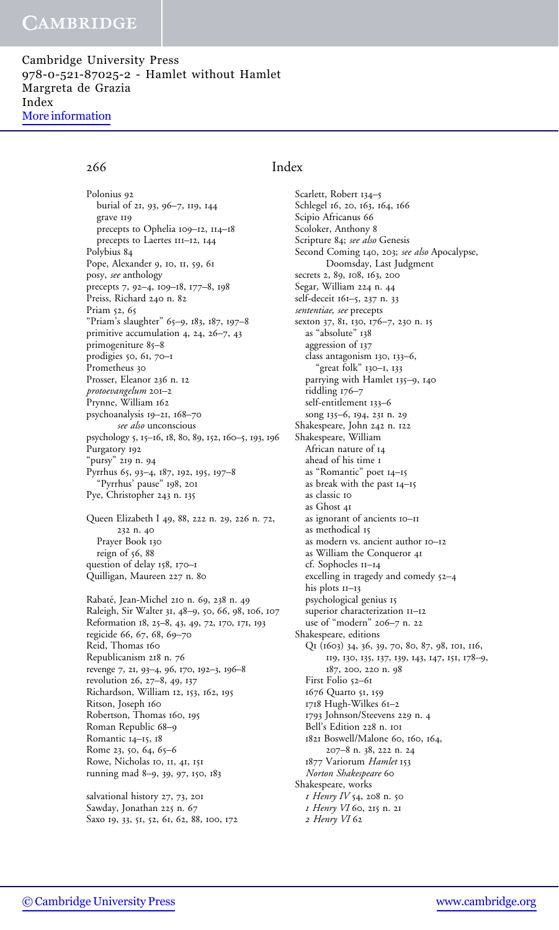Cambridge University Press 978-0-521-87025-2 - Hamlet without Hamlet Margreta de Grazia Index [More information](http://www.cambridge.org/0521870259)

Polonius 92 burial of 21, 93, 96–7, 119, 144 grave 119 precepts to Ophelia 109–12, 114–18 precepts to Laertes 111–12, 144 Polybius 84 Pope, Alexander 9, 10, 11, 59, 61 posy, see anthology precepts 7, 92–4, 109–18, 177–8, 198 Preiss, Richard 240 n. 82 Priam 52, 65 "Priam's slaughter" 65–9, 183, 187, 197–8 primitive accumulation 4, 24, 26–7, 43 primogeniture 85–8 prodigies 50, 61, 70–1 Prometheus 30 Prosser, Eleanor 236 n. 12 protoevangelum 201–2 Prynne, William 162 psychoanalysis 19–21, 168–70 see also unconscious psychology 5, 15–16, 18, 80, 89, 152, 160–5, 193, 196 Purgatory 192 "pursy" 219 n. 94 Pyrrhus 65, 93–4, 187, 192, 195, 197–8 "Pyrrhus' pause" 198, 201 Pye, Christopher 243 n. 135 Queen Elizabeth I 49, 88, 222 n. 29, 226 n. 72, 232 n. 40 Prayer Book 130 reign of  $56, 88$ question of delay 158, 170–1 Quilligan, Maureen 227 n. 80 Rabate´, Jean-Michel 210 n. 69, 238 n. 49 Raleigh, Sir Walter 31, 48–9, 50, 66, 98, 106, 107

Reformation 18, 25–8, 43, 49, 72, 170, 171, 193 regicide 66, 67, 68, 69–70 Reid, Thomas 160 Republicanism 218 n. 76 revenge 7, 21, 93–4, 96, 170, 192–3, 196–8 revolution 26, 27–8, 49, 137 Richardson, William 12, 153, 162, 195 Ritson, Joseph 160 Robertson, Thomas 160, 195 Roman Republic 68–9 Romantic 14–15, 18 Rome 23, 50, 64, 65–6 Rowe, Nicholas 10, 11, 41, 151 running mad 8–9, 39, 97, 150, 183

salvational history 27, 73, 201 Sawday, Jonathan 225 n. 67 Saxo 19, 33, 51, 52, 61, 62, 88, 100, 172

### 266 Index

Scarlett, Robert 134–5 Schlegel 16, 20, 163, 164, 166 Scipio Africanus 66 Scoloker, Anthony 8 Scripture 84; see also Genesis Second Coming 140, 203; see also Apocalypse, Doomsday, Last Judgment secrets 2, 89, 108, 163, 200 Segar, William 224 n. 44 self-deceit 161–5, 237 n. 33 sententiae, see precepts sexton 37, 81, 130, 176–7, 230 n. 15 as "absolute" 138 aggression of 137 class antagonism 130, 133–6, "great folk" 130–1, 133 parrying with Hamlet 135–9, 140 riddling 176–7 self-entitlement 133–6 song 135–6, 194, 231 n. 29 Shakespeare, John 242 n. 122 Shakespeare, William African nature of 14 ahead of his time 1 as "Romantic" poet 14–15 as break with the past 14–15 as classic 10 as Ghost 41 as ignorant of ancients 10–11 as methodical 15 as modern vs. ancient author 10–12 as William the Conqueror 41 cf. Sophocles 11–14 excelling in tragedy and comedy 52–4 his plots  $II$ –13 psychological genius 15 superior characterization 11-12 use of "modern" 206–7 n. 22 Shakespeare, editions Q1 (1603) 34, 36, 39, 70, 80, 87, 98, 101, 116, 119, 130, 135, 137, 139, 143, 147, 151, 178–9, 187, 200, 220 n. 98 First Folio 52–61 1676 Quarto 51, 159 1718 Hugh-Wilkes 61–2 1793 Johnson/Steevens 229 n. 4 Bell's Edition 228 n. 101 1821 Boswell/Malone 60, 160, 164, 207–8 n. 38, 222 n. 24 1877 Variorum Hamlet 153 Norton Shakespeare 60 Shakespeare, works 1 Henry IV 54, 208 n. 50 1 Henry VI 60, 215 n. 21 2 Henry VI 62